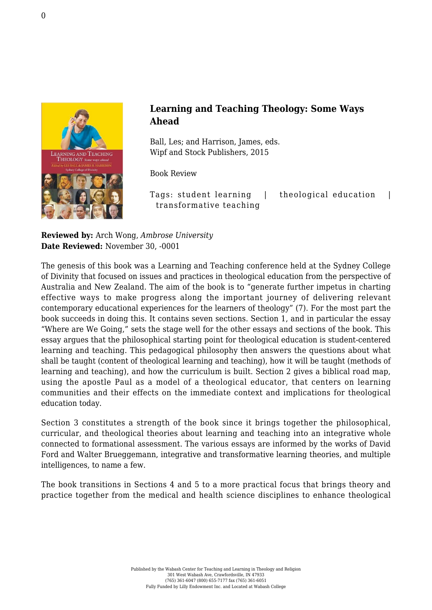

## **Learning and Teaching Theology: Some Ways Ahead**

Ball, Les; and Harrison, James, eds. [Wipf and Stock Publishers, 2015](http://wipfandstock.com/learning-and-teaching-theology.html)

Book Review

Tags: student learning | theological education | transformative teaching

**Reviewed by:** Arch Wong, *Ambrose University* **Date Reviewed:** November 30, -0001

The genesis of this book was a Learning and Teaching conference held at the Sydney College of Divinity that focused on issues and practices in theological education from the perspective of Australia and New Zealand. The aim of the book is to "generate further impetus in charting effective ways to make progress along the important journey of delivering relevant contemporary educational experiences for the learners of theology" (7). For the most part the book succeeds in doing this. It contains seven sections. Section 1, and in particular the essay "Where are We Going," sets the stage well for the other essays and sections of the book. This essay argues that the philosophical starting point for theological education is student-centered learning and teaching. This pedagogical philosophy then answers the questions about what shall be taught (content of theological learning and teaching), how it will be taught (methods of learning and teaching), and how the curriculum is built. Section 2 gives a biblical road map, using the apostle Paul as a model of a theological educator, that centers on learning communities and their effects on the immediate context and implications for theological education today.

Section 3 constitutes a strength of the book since it brings together the philosophical, curricular, and theological theories about learning and teaching into an integrative whole connected to formational assessment. The various essays are informed by the works of David Ford and Walter Brueggemann, integrative and transformative learning theories, and multiple intelligences, to name a few.

The book transitions in Sections 4 and 5 to a more practical focus that brings theory and practice together from the medical and health science disciplines to enhance theological